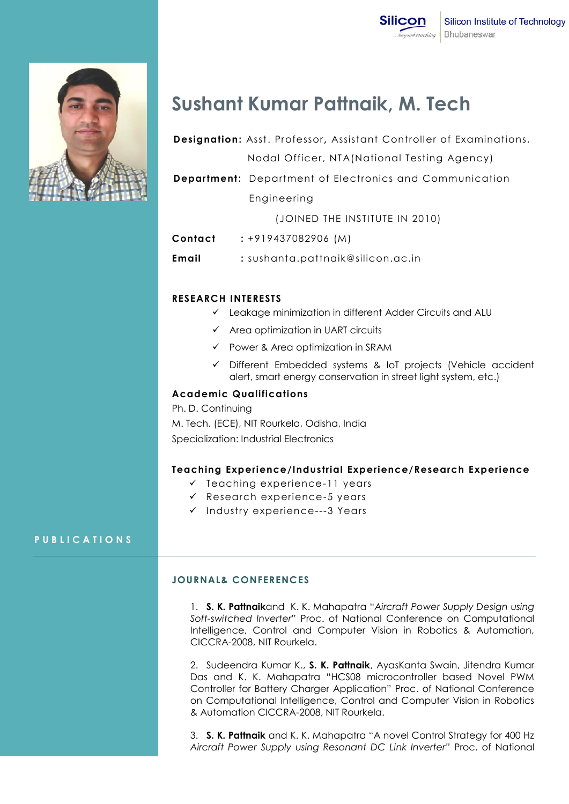

# **Sushant Kumar Pattnaik, M. Tech**

| <b>Designation:</b> Asst. Professor, Assistant Controller of Examinations, |
|----------------------------------------------------------------------------|
| Nodal Officer, NTA (National Testing Agency)                               |
| <b>Department:</b> Department of Electronics and Communication             |
| Engineering                                                                |
|                                                                            |

(JOINED THE INSTITUTE IN 2010)

- **Contact :** +919437082906 (M)
- **Email :** sushanta.pattnaik@silicon.ac.in

## **RESEARCH INTERESTS**

- Leakage minimization in different Adder Circuits and ALU
- $\checkmark$  Area optimization in UART circuits
- $\checkmark$  Power & Area optimization in SRAM
- Different Embedded systems & IoT projects (Vehicle accident alert, smart energy conservation in street light system, etc.)

#### **Academic Qualifications**

Ph. D. Continuing M. Tech. (ECE), NIT Rourkela, Odisha, India Specialization: Industrial Electronics

#### **Teaching Experience/Industrial Experience/Research Experience**

- $\checkmark$  Teaching experience-11 years
- $\checkmark$  Research experience-5 years
- $\checkmark$  Industry experience---3 Years

#### **P U B L I C A T I O N S**

#### **JOURNAL& CONFERENCES**

1. **S. K. Pattnaik**and K. K. Mahapatra "*Aircraft Power Supply Design using Soft-switched Inverter"* Proc. of National Conference on Computational Intelligence, Control and Computer Vision in Robotics & Automation, CICCRA-2008, NIT Rourkela.

2. Sudeendra Kumar K., **S. K. Pattnaik**, AyasKanta Swain, Jitendra Kumar Das and K. K. Mahapatra "HCS08 microcontroller based Novel PWM Controller for Battery Charger Application" Proc. of National Conference on Computational Intelligence, Control and Computer Vision in Robotics & Automation CICCRA-2008, NIT Rourkela.

3. **S. K. Pattnaik** and K. K. Mahapatra "A novel Control Strategy for 400 Hz *Aircraft Power Supply using Resonant DC Link Inverter"* Proc. of National